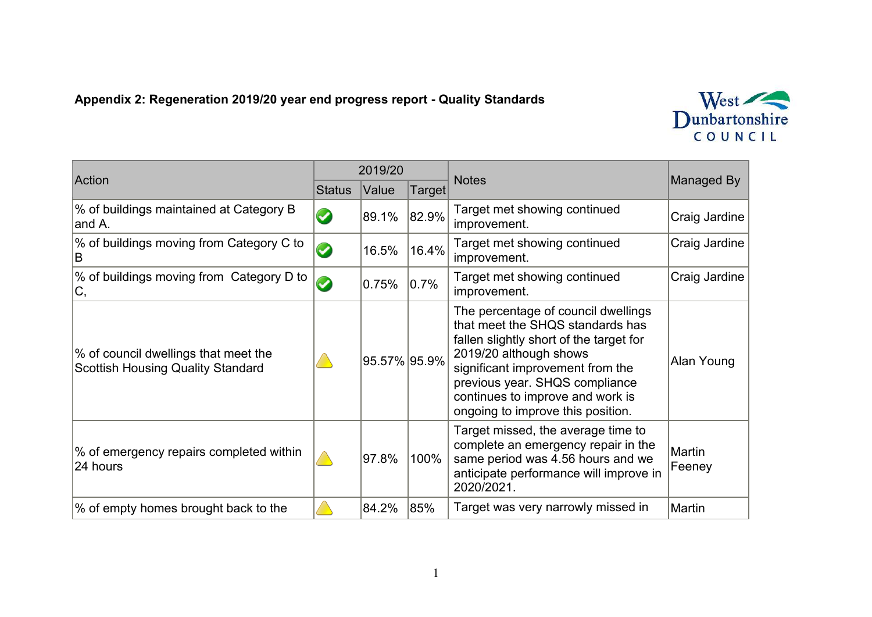## **Appendix 2: Regeneration 2019/20 year end progress report - Quality Standards**



| Action                                                                           | 2019/20               |              |           |                                                                                                                                                                                                                                                                                             |                  |
|----------------------------------------------------------------------------------|-----------------------|--------------|-----------|---------------------------------------------------------------------------------------------------------------------------------------------------------------------------------------------------------------------------------------------------------------------------------------------|------------------|
|                                                                                  | <b>Status</b>         | Value        | Target∣   | <b>Notes</b>                                                                                                                                                                                                                                                                                | Managed By       |
| % of buildings maintained at Category B<br>and A.                                | $\blacktriangledown$  | 89.1%        | 82.9%     | Target met showing continued<br>improvement.                                                                                                                                                                                                                                                | Craig Jardine    |
| % of buildings moving from Category C to<br>B                                    | $\boldsymbol{\omega}$ | 16.5%        | 16.4%     | Target met showing continued<br>improvement.                                                                                                                                                                                                                                                | Craig Jardine    |
| % of buildings moving from Category D to<br>С,                                   | $\bm{\omega}$         | 0.75%        | $ 0.7\% $ | Target met showing continued<br>improvement.                                                                                                                                                                                                                                                | Craig Jardine    |
| % of council dwellings that meet the<br><b>Scottish Housing Quality Standard</b> |                       | 95.57% 95.9% |           | The percentage of council dwellings<br>that meet the SHQS standards has<br>fallen slightly short of the target for<br>2019/20 although shows<br>significant improvement from the<br>previous year. SHQS compliance<br>continues to improve and work is<br>ongoing to improve this position. | Alan Young       |
| % of emergency repairs completed within<br>24 hours                              |                       | 97.8%        | 100%      | Target missed, the average time to<br>complete an emergency repair in the<br>same period was 4.56 hours and we<br>anticipate performance will improve in<br>2020/2021.                                                                                                                      | Martin<br>Feeney |
| % of empty homes brought back to the                                             |                       | 84.2%        | 85%       | Target was very narrowly missed in                                                                                                                                                                                                                                                          | Martin           |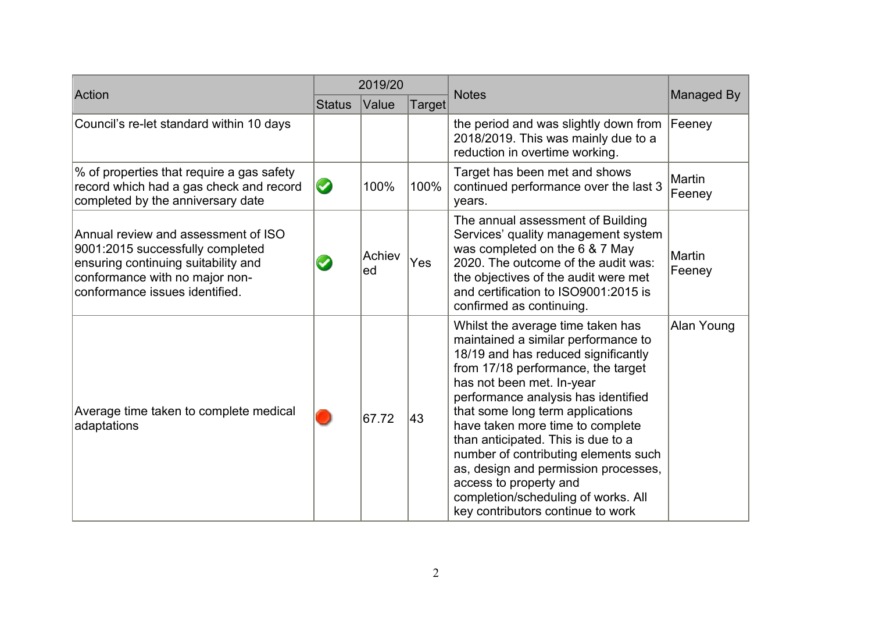| Action                                                                                                                                                                             | 2019/20               |              |        |                                                                                                                                                                                                                                                                                                                                                                                                                                                                                                                               |                         |
|------------------------------------------------------------------------------------------------------------------------------------------------------------------------------------|-----------------------|--------------|--------|-------------------------------------------------------------------------------------------------------------------------------------------------------------------------------------------------------------------------------------------------------------------------------------------------------------------------------------------------------------------------------------------------------------------------------------------------------------------------------------------------------------------------------|-------------------------|
|                                                                                                                                                                                    | <b>Status</b>         | Value        | Target | <b>Notes</b>                                                                                                                                                                                                                                                                                                                                                                                                                                                                                                                  | Managed By              |
| Council's re-let standard within 10 days                                                                                                                                           |                       |              |        | the period and was slightly down from<br>2018/2019. This was mainly due to a<br>reduction in overtime working.                                                                                                                                                                                                                                                                                                                                                                                                                | Feeney                  |
| % of properties that require a gas safety<br>record which had a gas check and record<br>completed by the anniversary date                                                          | $\bullet$             | 100%         | 100%   | Target has been met and shows<br>continued performance over the last 3<br>years.                                                                                                                                                                                                                                                                                                                                                                                                                                              | <b>Martin</b><br>Feeney |
| Annual review and assessment of ISO<br>9001:2015 successfully completed<br>ensuring continuing suitability and<br>conformance with no major non-<br>conformance issues identified. | $\blacktriangleright$ | Achiev<br>ed | Yes    | The annual assessment of Building<br>Services' quality management system<br>was completed on the 6 & 7 May<br>2020. The outcome of the audit was:<br>the objectives of the audit were met<br>and certification to ISO9001:2015 is<br>confirmed as continuing.                                                                                                                                                                                                                                                                 | Martin<br>Feeney        |
| Average time taken to complete medical<br>adaptations                                                                                                                              |                       | 67.72        | 43     | Whilst the average time taken has<br>maintained a similar performance to<br>18/19 and has reduced significantly<br>from 17/18 performance, the target<br>has not been met. In-year<br>performance analysis has identified<br>that some long term applications<br>have taken more time to complete<br>than anticipated. This is due to a<br>number of contributing elements such<br>as, design and permission processes,<br>access to property and<br>completion/scheduling of works. All<br>key contributors continue to work | Alan Young              |